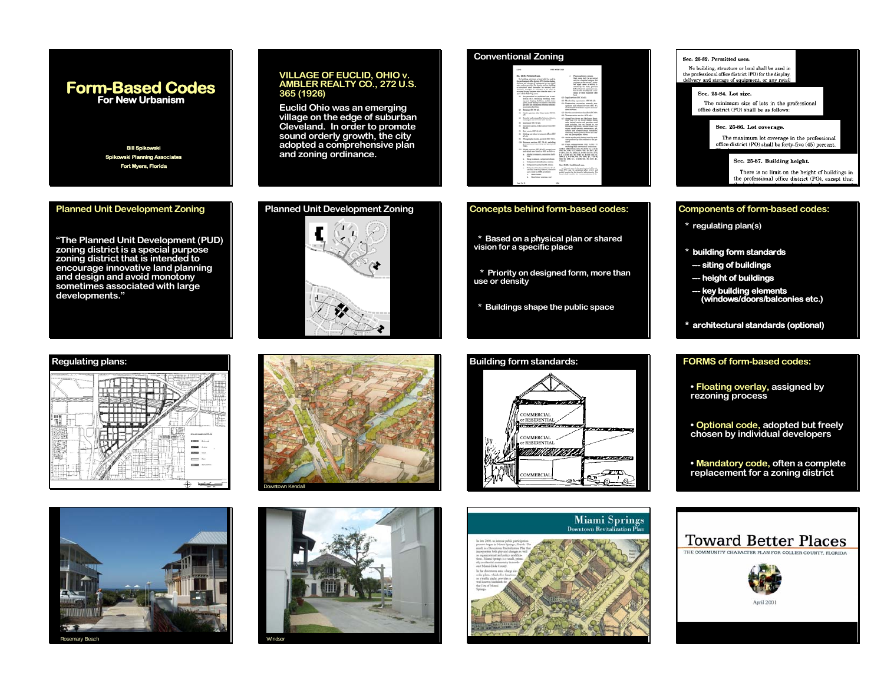# **Form-Based Codes For New UrbanismForm-Based Codes For New Urbanism**

**Bill Spikowski Spikowski Planning Associates Fort Myers, Florida**

**Planned Unit Development Zoning** 

# **VILLAGE OF EUCLID, OHIO v. AMBLER REALTY CO., 272 U.S. 365 (1926)**

**Euclid Ohio was an emerging village on the edge of suburban Cleveland. In order to promote sound orderly growth, the city adopted a comprehensive plan and zoning ordinance.** 

**Planned Unit Development Zoning** 



# **Regulating plans:**









# **Conventional Zoning**

# **Concepts behind form-based codes:**

- **\* Based on a physical plan or shared vision for a specific place**
- **\* Priority on designed form, more than use or density**
- **\* Buildings shape the public space**

## **Building form standards: FORMS of form-based codes:** aleman and COMMERCIAL **RESIDENTIAL** ------**COMMERCIAL r RESIDENTIAL** BOULEVARD STREETPASEOSERVICE ST. $\subset \mathbb{R}$ OMMERCIA అ  $\circ$   $\circ$



# Sec. 25-82. Permitted uses. No building, structure or land shall be used in the professional office district  $({\rm PO})$  for the display, delivery and storage of equipment, or any retai Sec. 25-84. Lot size. The minimum size of lots in the professional office district (PO) shall be as follows: Sec. 25-86. Lot coverage. The maximum lot coverage in the professional<br>office district (PO) shall be forty-five (45) percent. Sec. 25-87. Building height. There is no limit on the height of buildings in<br>the professional office district (PO), except that **Components of form-based codes: \* regulating plan(s) \* building form standards --- siting of buildings --- height of buildings --- key building elements (windows/doors/balconies etc.) \* architectural standards (optional)**

**• Floating overlay, assigned by rezoning process** 

**• Optional code, adopted but freely chosen by individual developers**

**• Mandatory code, often a complete replacement for a zoning district**